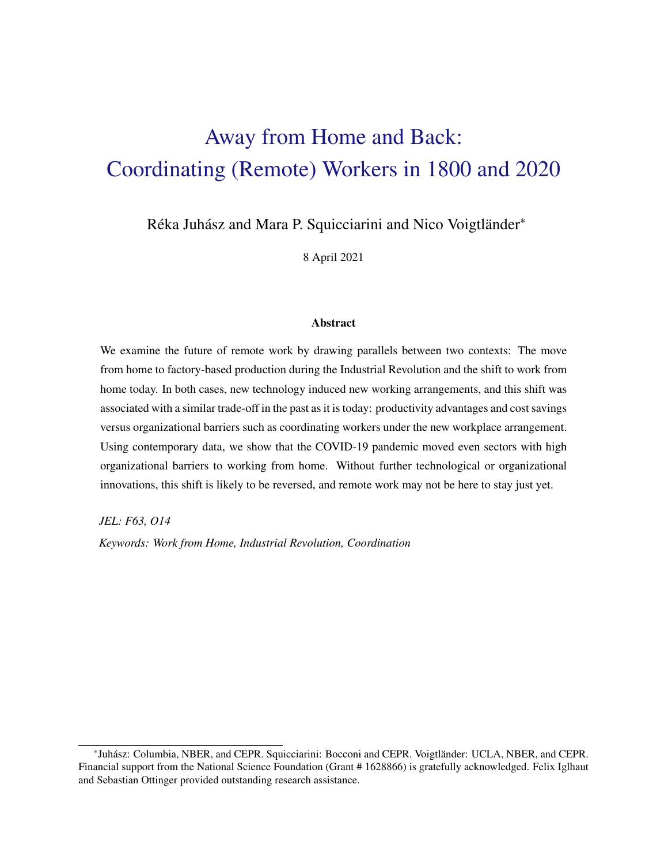# Away from Home and Back: Coordinating (Remote) Workers in 1800 and 2020

Réka Juhász and Mara P. Squicciarini and Nico Voigtländer\*

8 April 2021

## Abstract

We examine the future of remote work by drawing parallels between two contexts: The move from home to factory-based production during the Industrial Revolution and the shift to work from home today. In both cases, new technology induced new working arrangements, and this shift was associated with a similar trade-off in the past as it is today: productivity advantages and cost savings versus organizational barriers such as coordinating workers under the new workplace arrangement. Using contemporary data, we show that the COVID-19 pandemic moved even sectors with high organizational barriers to working from home. Without further technological or organizational innovations, this shift is likely to be reversed, and remote work may not be here to stay just yet.

*JEL: F63, O14*

*Keywords: Work from Home, Industrial Revolution, Coordination*

<sup>\*</sup>Juhász: Columbia, NBER, and CEPR. Squicciarini: Bocconi and CEPR. Voigtländer: UCLA, NBER, and CEPR. Financial support from the National Science Foundation (Grant # 1628866) is gratefully acknowledged. Felix Iglhaut and Sebastian Ottinger provided outstanding research assistance.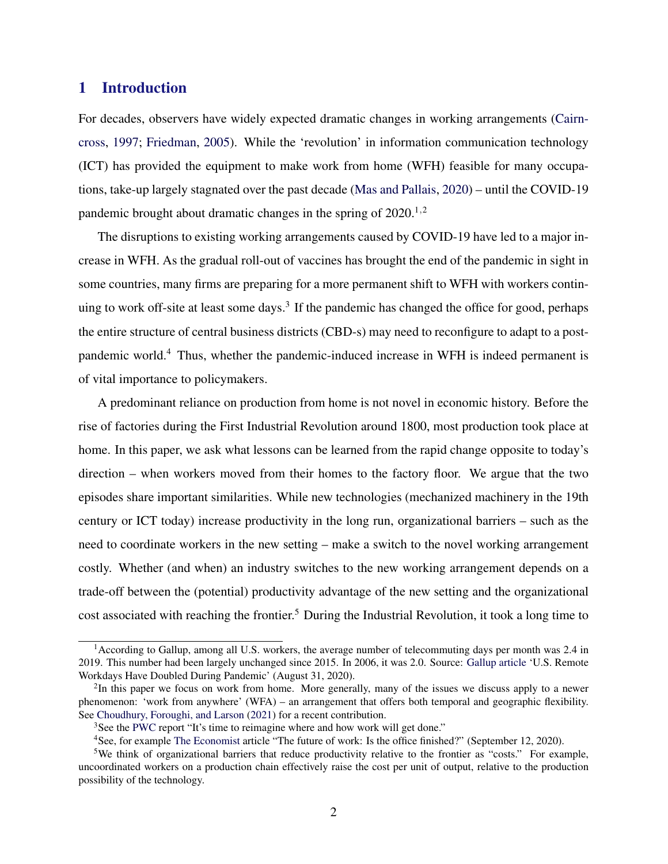# 1 Introduction

For decades, observers have widely expected dramatic changes in working arrangements [\(Cairn](#page-13-0)[cross,](#page-13-0) [1997;](#page-13-0) [Friedman,](#page-13-0) [2005\)](#page-13-0). While the 'revolution' in information communication technology (ICT) has provided the equipment to make work from home (WFH) feasible for many occupations, take-up largely stagnated over the past decade [\(Mas and Pallais,](#page-14-0) [2020\)](#page-14-0) – until the COVID-19 pandemic brought about dramatic changes in the spring of  $2020^{1,2}$ .

The disruptions to existing working arrangements caused by COVID-19 have led to a major increase in WFH. As the gradual roll-out of vaccines has brought the end of the pandemic in sight in some countries, many firms are preparing for a more permanent shift to WFH with workers continuing to work off-site at least some days.<sup>3</sup> If the pandemic has changed the office for good, perhaps the entire structure of central business districts (CBD-s) may need to reconfigure to adapt to a postpandemic world.<sup>4</sup> Thus, whether the pandemic-induced increase in WFH is indeed permanent is of vital importance to policymakers.

A predominant reliance on production from home is not novel in economic history. Before the rise of factories during the First Industrial Revolution around 1800, most production took place at home. In this paper, we ask what lessons can be learned from the rapid change opposite to today's direction – when workers moved from their homes to the factory floor. We argue that the two episodes share important similarities. While new technologies (mechanized machinery in the 19th century or ICT today) increase productivity in the long run, organizational barriers – such as the need to coordinate workers in the new setting – make a switch to the novel working arrangement costly. Whether (and when) an industry switches to the new working arrangement depends on a trade-off between the (potential) productivity advantage of the new setting and the organizational cost associated with reaching the frontier.<sup>5</sup> During the Industrial Revolution, it took a long time to

<sup>&</sup>lt;sup>1</sup> According to Gallup, among all U.S. workers, the average number of telecommuting days per month was 2.4 in 2019. This number had been largely unchanged since 2015. In 2006, it was 2.0. Source: [Gallup article](https://news.gallup.com/poll/318173/remote-workdays-doubled-during-pandemic.aspx) 'U.S. Remote Workdays Have Doubled During Pandemic' (August 31, 2020).

<sup>&</sup>lt;sup>2</sup>In this paper we focus on work from home. More generally, many of the issues we discuss apply to a newer phenomenon: 'work from anywhere' (WFA) – an arrangement that offers both temporal and geographic flexibility. See [Choudhury, Foroughi, and Larson](#page-13-0) [\(2021\)](#page-13-0) for a recent contribution.

<sup>&</sup>lt;sup>3</sup>See the [PWC](https://www.pwc.com/us/remotework?WT.mc_id=CT10-PL102-DM2-TR1-LS3-ND30-PR4-CN_ViewpointHighlights-) report "It's time to reimagine where and how work will get done."

<sup>4</sup>See, for example [The Economist](https://www.economist.com/leaders/2020/09/12/is-the-office-finished) article "The future of work: Is the office finished?" (September 12, 2020).

<sup>&</sup>lt;sup>5</sup>We think of organizational barriers that reduce productivity relative to the frontier as "costs." For example, uncoordinated workers on a production chain effectively raise the cost per unit of output, relative to the production possibility of the technology.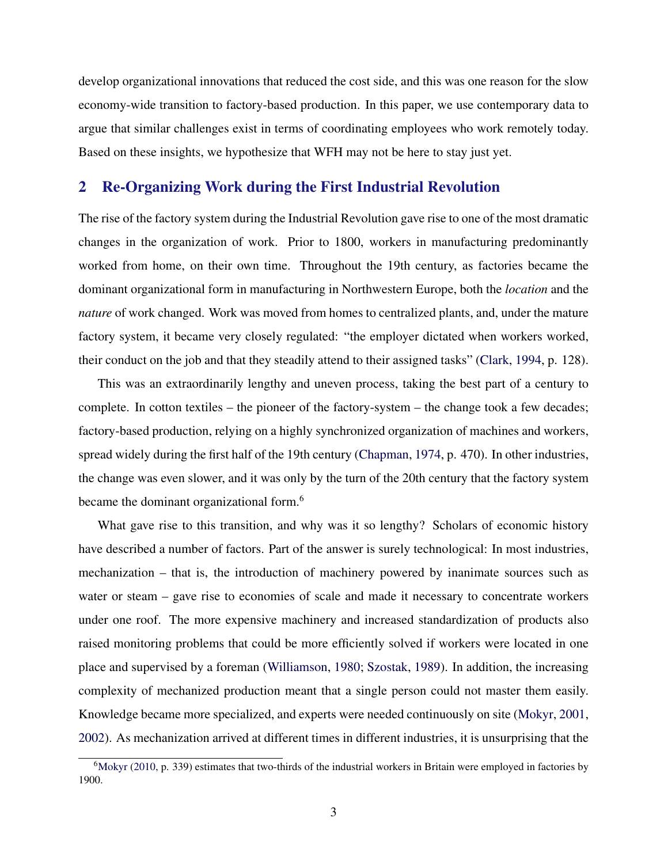develop organizational innovations that reduced the cost side, and this was one reason for the slow economy-wide transition to factory-based production. In this paper, we use contemporary data to argue that similar challenges exist in terms of coordinating employees who work remotely today. Based on these insights, we hypothesize that WFH may not be here to stay just yet.

# 2 Re-Organizing Work during the First Industrial Revolution

The rise of the factory system during the Industrial Revolution gave rise to one of the most dramatic changes in the organization of work. Prior to 1800, workers in manufacturing predominantly worked from home, on their own time. Throughout the 19th century, as factories became the dominant organizational form in manufacturing in Northwestern Europe, both the *location* and the *nature* of work changed. Work was moved from homes to centralized plants, and, under the mature factory system, it became very closely regulated: "the employer dictated when workers worked, their conduct on the job and that they steadily attend to their assigned tasks" [\(Clark,](#page-13-0) [1994,](#page-13-0) p. 128).

This was an extraordinarily lengthy and uneven process, taking the best part of a century to complete. In cotton textiles – the pioneer of the factory-system – the change took a few decades; factory-based production, relying on a highly synchronized organization of machines and workers, spread widely during the first half of the 19th century [\(Chapman,](#page-13-0) [1974,](#page-13-0) p. 470). In other industries, the change was even slower, and it was only by the turn of the 20th century that the factory system became the dominant organizational form.<sup>6</sup>

What gave rise to this transition, and why was it so lengthy? Scholars of economic history have described a number of factors. Part of the answer is surely technological: In most industries, mechanization – that is, the introduction of machinery powered by inanimate sources such as water or steam – gave rise to economies of scale and made it necessary to concentrate workers under one roof. The more expensive machinery and increased standardization of products also raised monitoring problems that could be more efficiently solved if workers were located in one place and supervised by a foreman [\(Williamson,](#page-14-0) [1980;](#page-14-0) [Szostak,](#page-14-0) [1989\)](#page-14-0). In addition, the increasing complexity of mechanized production meant that a single person could not master them easily. Knowledge became more specialized, and experts were needed continuously on site [\(Mokyr,](#page-14-0) [2001,](#page-14-0) [2002\)](#page-14-0). As mechanization arrived at different times in different industries, it is unsurprising that the

 $6$ [Mokyr](#page-14-0) [\(2010,](#page-14-0) p. 339) estimates that two-thirds of the industrial workers in Britain were employed in factories by 1900.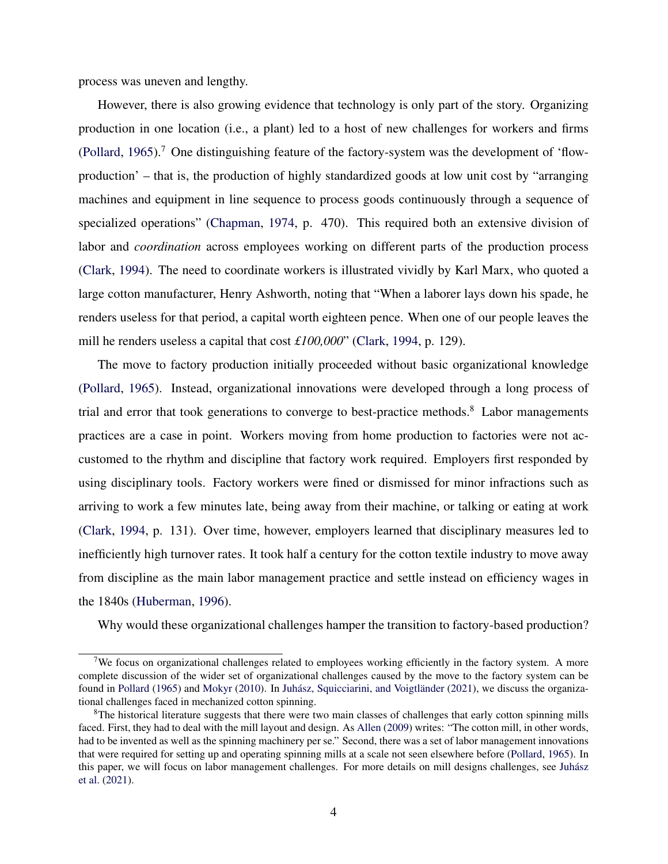process was uneven and lengthy.

However, there is also growing evidence that technology is only part of the story. Organizing production in one location (i.e., a plant) led to a host of new challenges for workers and firms [\(Pollard,](#page-14-0) [1965\)](#page-14-0).<sup>7</sup> One distinguishing feature of the factory-system was the development of 'flowproduction' – that is, the production of highly standardized goods at low unit cost by "arranging machines and equipment in line sequence to process goods continuously through a sequence of specialized operations" [\(Chapman,](#page-13-0) [1974,](#page-13-0) p. 470). This required both an extensive division of labor and *coordination* across employees working on different parts of the production process [\(Clark,](#page-13-0) [1994\)](#page-13-0). The need to coordinate workers is illustrated vividly by Karl Marx, who quoted a large cotton manufacturer, Henry Ashworth, noting that "When a laborer lays down his spade, he renders useless for that period, a capital worth eighteen pence. When one of our people leaves the mill he renders useless a capital that cost *£100,000*" [\(Clark,](#page-13-0) [1994,](#page-13-0) p. 129).

The move to factory production initially proceeded without basic organizational knowledge [\(Pollard,](#page-14-0) [1965\)](#page-14-0). Instead, organizational innovations were developed through a long process of trial and error that took generations to converge to best-practice methods.<sup>8</sup> Labor managements practices are a case in point. Workers moving from home production to factories were not accustomed to the rhythm and discipline that factory work required. Employers first responded by using disciplinary tools. Factory workers were fined or dismissed for minor infractions such as arriving to work a few minutes late, being away from their machine, or talking or eating at work [\(Clark,](#page-13-0) [1994,](#page-13-0) p. 131). Over time, however, employers learned that disciplinary measures led to inefficiently high turnover rates. It took half a century for the cotton textile industry to move away from discipline as the main labor management practice and settle instead on efficiency wages in the 1840s [\(Huberman,](#page-13-0) [1996\)](#page-13-0).

Why would these organizational challenges hamper the transition to factory-based production?

<sup>&</sup>lt;sup>7</sup>We focus on organizational challenges related to employees working efficiently in the factory system. A more complete discussion of the wider set of organizational challenges caused by the move to the factory system can be found in [Pollard](#page-14-0) [\(1965\)](#page-14-0) and [Mokyr](#page-14-0) [\(2010\)](#page-14-0). In [Juhász, Squicciarini, and Voigtländer](#page-14-0) [\(2021\)](#page-14-0), we discuss the organizational challenges faced in mechanized cotton spinning.

<sup>&</sup>lt;sup>8</sup>The historical literature suggests that there were two main classes of challenges that early cotton spinning mills faced. First, they had to deal with the mill layout and design. As [Allen](#page-13-0) [\(2009\)](#page-13-0) writes: "The cotton mill, in other words, had to be invented as well as the spinning machinery per se." Second, there was a set of labor management innovations that were required for setting up and operating spinning mills at a scale not seen elsewhere before [\(Pollard,](#page-14-0) [1965\)](#page-14-0). In this paper, we will focus on labor management challenges. For more details on mill designs challenges, see [Juhász](#page-14-0) [et al.](#page-14-0) [\(2021\)](#page-14-0).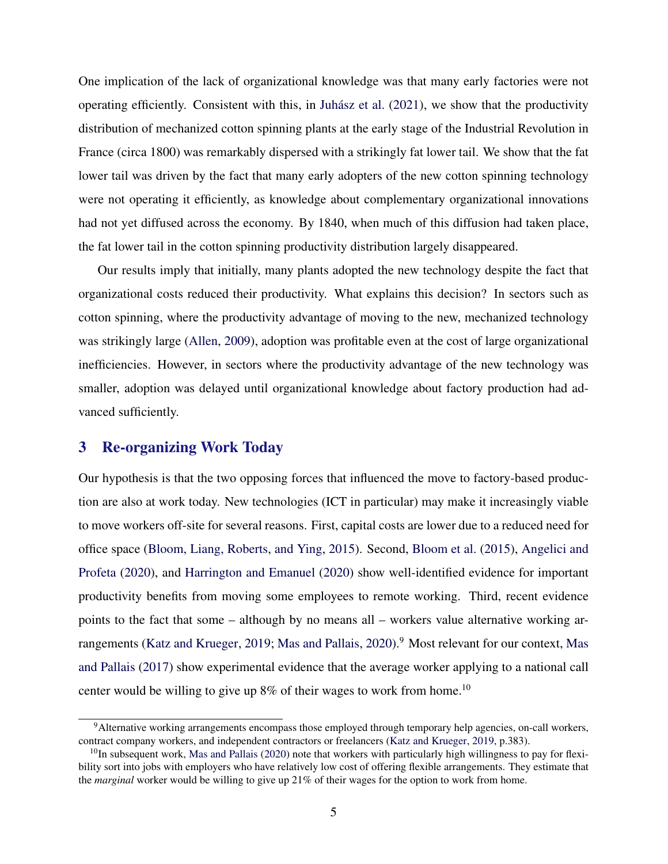One implication of the lack of organizational knowledge was that many early factories were not operating efficiently. Consistent with this, in [Juhász et al.](#page-14-0) [\(2021\)](#page-14-0), we show that the productivity distribution of mechanized cotton spinning plants at the early stage of the Industrial Revolution in France (circa 1800) was remarkably dispersed with a strikingly fat lower tail. We show that the fat lower tail was driven by the fact that many early adopters of the new cotton spinning technology were not operating it efficiently, as knowledge about complementary organizational innovations had not yet diffused across the economy. By 1840, when much of this diffusion had taken place, the fat lower tail in the cotton spinning productivity distribution largely disappeared.

Our results imply that initially, many plants adopted the new technology despite the fact that organizational costs reduced their productivity. What explains this decision? In sectors such as cotton spinning, where the productivity advantage of moving to the new, mechanized technology was strikingly large [\(Allen,](#page-13-0) [2009\)](#page-13-0), adoption was profitable even at the cost of large organizational inefficiencies. However, in sectors where the productivity advantage of the new technology was smaller, adoption was delayed until organizational knowledge about factory production had advanced sufficiently.

## 3 Re-organizing Work Today

Our hypothesis is that the two opposing forces that influenced the move to factory-based production are also at work today. New technologies (ICT in particular) may make it increasingly viable to move workers off-site for several reasons. First, capital costs are lower due to a reduced need for office space [\(Bloom, Liang, Roberts, and Ying,](#page-13-0) [2015\)](#page-13-0). Second, [Bloom et al.](#page-13-0) [\(2015\)](#page-13-0), [Angelici and](#page-13-0) [Profeta](#page-13-0) [\(2020\)](#page-13-0), and [Harrington and Emanuel](#page-13-0) [\(2020\)](#page-13-0) show well-identified evidence for important productivity benefits from moving some employees to remote working. Third, recent evidence points to the fact that some – although by no means all – workers value alternative working ar-rangements [\(Katz and Krueger,](#page-14-0) [2019;](#page-14-0) [Mas and Pallais,](#page-14-0) [2020\)](#page-14-0).<sup>9</sup> Most relevant for our context, [Mas](#page-14-0) [and Pallais](#page-14-0) [\(2017\)](#page-14-0) show experimental evidence that the average worker applying to a national call center would be willing to give up  $8\%$  of their wages to work from home.<sup>10</sup>

<sup>9</sup>Alternative working arrangements encompass those employed through temporary help agencies, on-call workers, contract company workers, and independent contractors or freelancers [\(Katz and Krueger,](#page-14-0) [2019,](#page-14-0) p.383).

 $^{10}$ In subsequent work, [Mas and Pallais](#page-14-0) [\(2020\)](#page-14-0) note that workers with particularly high willingness to pay for flexibility sort into jobs with employers who have relatively low cost of offering flexible arrangements. They estimate that the *marginal* worker would be willing to give up 21% of their wages for the option to work from home.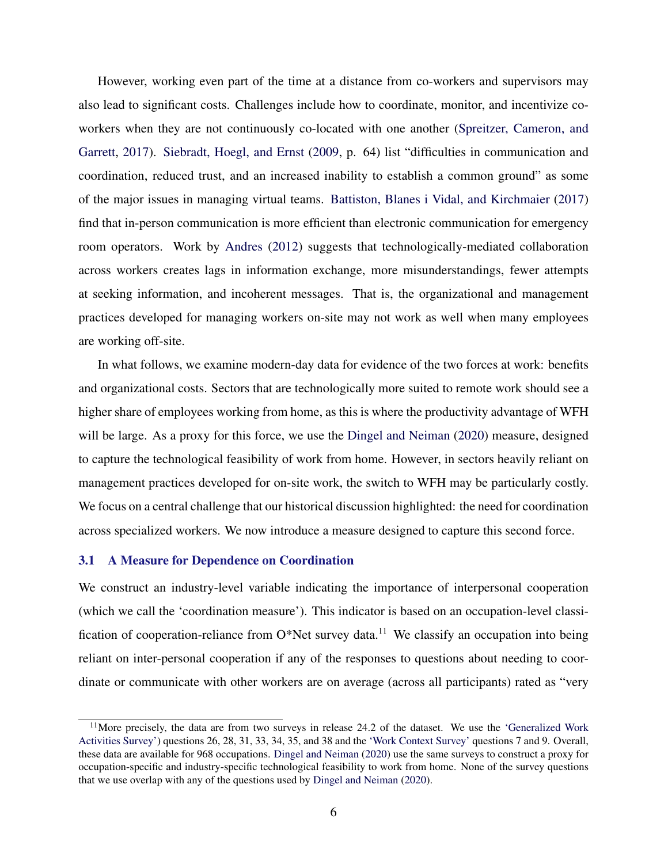However, working even part of the time at a distance from co-workers and supervisors may also lead to significant costs. Challenges include how to coordinate, monitor, and incentivize coworkers when they are not continuously co-located with one another [\(Spreitzer, Cameron, and](#page-14-0) [Garrett,](#page-14-0) [2017\)](#page-14-0). [Siebradt, Hoegl, and Ernst](#page-14-0) [\(2009,](#page-14-0) p. 64) list "difficulties in communication and coordination, reduced trust, and an increased inability to establish a common ground" as some of the major issues in managing virtual teams. [Battiston, Blanes i Vidal, and Kirchmaier](#page-13-0) [\(2017\)](#page-13-0) find that in-person communication is more efficient than electronic communication for emergency room operators. Work by [Andres](#page-13-0) [\(2012\)](#page-13-0) suggests that technologically-mediated collaboration across workers creates lags in information exchange, more misunderstandings, fewer attempts at seeking information, and incoherent messages. That is, the organizational and management practices developed for managing workers on-site may not work as well when many employees are working off-site.

In what follows, we examine modern-day data for evidence of the two forces at work: benefits and organizational costs. Sectors that are technologically more suited to remote work should see a higher share of employees working from home, as this is where the productivity advantage of WFH will be large. As a proxy for this force, we use the [Dingel and Neiman](#page-13-0) [\(2020\)](#page-13-0) measure, designed to capture the technological feasibility of work from home. However, in sectors heavily reliant on management practices developed for on-site work, the switch to WFH may be particularly costly. We focus on a central challenge that our historical discussion highlighted: the need for coordination across specialized workers. We now introduce a measure designed to capture this second force.

## 3.1 A Measure for Dependence on Coordination

We construct an industry-level variable indicating the importance of interpersonal cooperation (which we call the 'coordination measure'). This indicator is based on an occupation-level classification of cooperation-reliance from  $O^*$ Net survey data.<sup>11</sup> We classify an occupation into being reliant on inter-personal cooperation if any of the responses to questions about needing to coordinate or communicate with other workers are on average (across all participants) rated as "very

 $11$ More precisely, the data are from two surveys in release 24.2 of the dataset. We use the ['Generalized Work](https://www.onetcenter.org/dl_files/MS_Word/Generalized_Work_Activities.pdf) [Activities Survey'\)](https://www.onetcenter.org/dl_files/MS_Word/Generalized_Work_Activities.pdf) questions 26, 28, 31, 33, 34, 35, and 38 and the ['Work Context Survey'](https://www.onetcenter.org/dl_files/MS_Word/Work_Context.pdf) questions 7 and 9. Overall, these data are available for 968 occupations. [Dingel and Neiman](#page-13-0) [\(2020\)](#page-13-0) use the same surveys to construct a proxy for occupation-specific and industry-specific technological feasibility to work from home. None of the survey questions that we use overlap with any of the questions used by [Dingel and Neiman](#page-13-0) [\(2020\)](#page-13-0).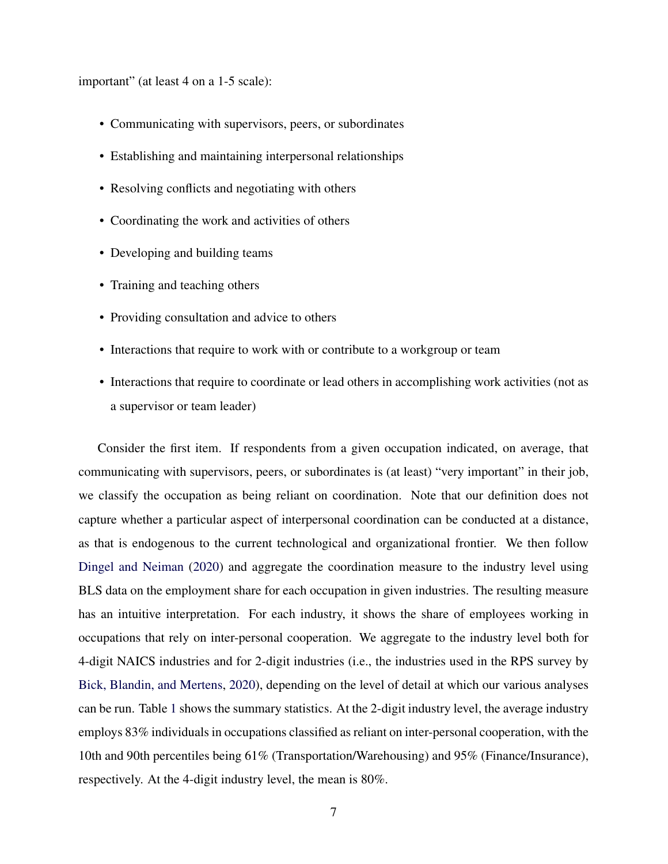important" (at least 4 on a 1-5 scale):

- Communicating with supervisors, peers, or subordinates
- Establishing and maintaining interpersonal relationships
- Resolving conflicts and negotiating with others
- Coordinating the work and activities of others
- Developing and building teams
- Training and teaching others
- Providing consultation and advice to others
- Interactions that require to work with or contribute to a workgroup or team
- Interactions that require to coordinate or lead others in accomplishing work activities (not as a supervisor or team leader)

Consider the first item. If respondents from a given occupation indicated, on average, that communicating with supervisors, peers, or subordinates is (at least) "very important" in their job, we classify the occupation as being reliant on coordination. Note that our definition does not capture whether a particular aspect of interpersonal coordination can be conducted at a distance, as that is endogenous to the current technological and organizational frontier. We then follow [Dingel and Neiman](#page-13-0) [\(2020\)](#page-13-0) and aggregate the coordination measure to the industry level using BLS data on the employment share for each occupation in given industries. The resulting measure has an intuitive interpretation. For each industry, it shows the share of employees working in occupations that rely on inter-personal cooperation. We aggregate to the industry level both for 4-digit NAICS industries and for 2-digit industries (i.e., the industries used in the RPS survey by [Bick, Blandin, and Mertens,](#page-13-0) [2020\)](#page-13-0), depending on the level of detail at which our various analyses can be run. Table [1](#page-7-0) shows the summary statistics. At the 2-digit industry level, the average industry employs 83% individuals in occupations classified as reliant on inter-personal cooperation, with the 10th and 90th percentiles being 61% (Transportation/Warehousing) and 95% (Finance/Insurance), respectively. At the 4-digit industry level, the mean is 80%.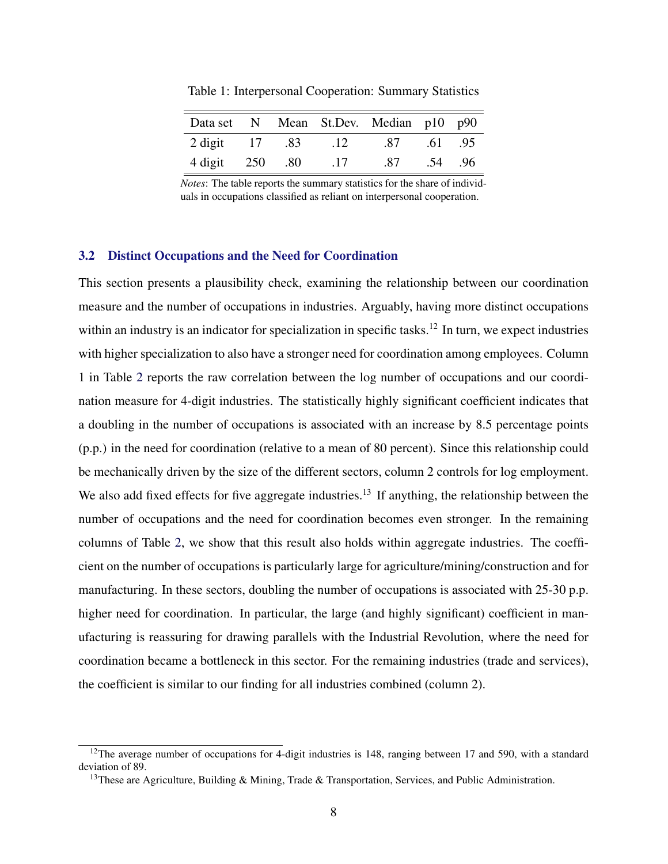| Data set N Mean St.Dev. Median p10 p90 |  |                 |             |         |  |
|----------------------------------------|--|-----------------|-------------|---------|--|
| 2 digit 17 .83                         |  | $\Box$ 12       | .87 .61 .95 |         |  |
| 4 digit 250 .80                        |  | $\overline{17}$ | .87         | .54 .96 |  |

<span id="page-7-0"></span>Table 1: Interpersonal Cooperation: Summary Statistics

*Notes*: The table reports the summary statistics for the share of individuals in occupations classified as reliant on interpersonal cooperation.

#### 3.2 Distinct Occupations and the Need for Coordination

This section presents a plausibility check, examining the relationship between our coordination measure and the number of occupations in industries. Arguably, having more distinct occupations within an industry is an indicator for specialization in specific tasks.<sup>12</sup> In turn, we expect industries with higher specialization to also have a stronger need for coordination among employees. Column 1 in Table [2](#page-8-0) reports the raw correlation between the log number of occupations and our coordination measure for 4-digit industries. The statistically highly significant coefficient indicates that a doubling in the number of occupations is associated with an increase by 8.5 percentage points (p.p.) in the need for coordination (relative to a mean of 80 percent). Since this relationship could be mechanically driven by the size of the different sectors, column 2 controls for log employment. We also add fixed effects for five aggregate industries.<sup>13</sup> If anything, the relationship between the number of occupations and the need for coordination becomes even stronger. In the remaining columns of Table [2,](#page-8-0) we show that this result also holds within aggregate industries. The coefficient on the number of occupations is particularly large for agriculture/mining/construction and for manufacturing. In these sectors, doubling the number of occupations is associated with 25-30 p.p. higher need for coordination. In particular, the large (and highly significant) coefficient in manufacturing is reassuring for drawing parallels with the Industrial Revolution, where the need for coordination became a bottleneck in this sector. For the remaining industries (trade and services), the coefficient is similar to our finding for all industries combined (column 2).

 $12$ The average number of occupations for 4-digit industries is 148, ranging between 17 and 590, with a standard deviation of 89.

<sup>&</sup>lt;sup>13</sup>These are Agriculture, Building & Mining, Trade & Transportation, Services, and Public Administration.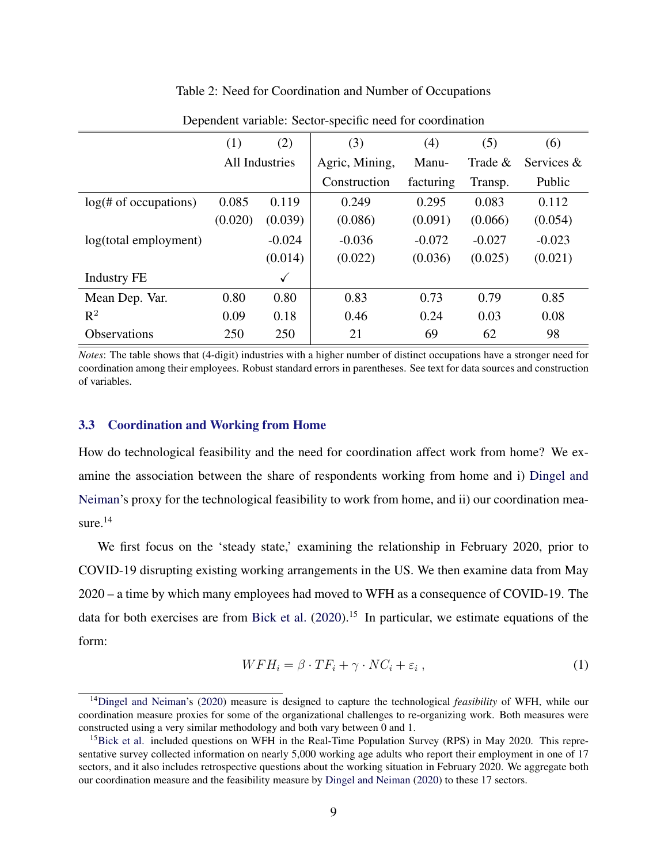## Table 2: Need for Coordination and Number of Occupations

<span id="page-8-0"></span>

|                               | (1)            | (2)          | (3)            | (4)       | (5)        | (6)        |
|-------------------------------|----------------|--------------|----------------|-----------|------------|------------|
|                               | All Industries |              | Agric, Mining, | Manu-     | Trade $\&$ | Services & |
|                               |                |              | Construction   | facturing | Transp.    | Public     |
| log( <i>#</i> of occurrences) | 0.085          | 0.119        | 0.249          | 0.295     | 0.083      | 0.112      |
|                               | (0.020)        | (0.039)      | (0.086)        | (0.091)   | (0.066)    | (0.054)    |
| log(total employment)         |                | $-0.024$     | $-0.036$       | $-0.072$  | $-0.027$   | $-0.023$   |
|                               |                | (0.014)      | (0.022)        | (0.036)   | (0.025)    | (0.021)    |
| <b>Industry FE</b>            |                | $\checkmark$ |                |           |            |            |
| Mean Dep. Var.                | 0.80           | 0.80         | 0.83           | 0.73      | 0.79       | 0.85       |
| $R^2$                         | 0.09           | 0.18         | 0.46           | 0.24      | 0.03       | 0.08       |
| <b>Observations</b>           | 250            | 250          | 21             | 69        | 62         | 98         |

Dependent variable: Sector-specific need for coordination

*Notes*: The table shows that (4-digit) industries with a higher number of distinct occupations have a stronger need for coordination among their employees. Robust standard errors in parentheses. See text for data sources and construction of variables.

## 3.3 Coordination and Working from Home

How do technological feasibility and the need for coordination affect work from home? We examine the association between the share of respondents working from home and i) [Dingel and](#page-13-0) [Neiman'](#page-13-0)s proxy for the technological feasibility to work from home, and ii) our coordination measure.<sup>14</sup>

We first focus on the 'steady state,' examining the relationship in February 2020, prior to COVID-19 disrupting existing working arrangements in the US. We then examine data from May 2020 – a time by which many employees had moved to WFH as a consequence of COVID-19. The data for both exercises are from [Bick et al.](#page-13-0) [\(2020\)](#page-13-0).<sup>15</sup> In particular, we estimate equations of the form:

$$
WFH_i = \beta \cdot TF_i + \gamma \cdot NC_i + \varepsilon_i , \qquad (1)
$$

<sup>14</sup>[Dingel and Neiman'](#page-13-0)s [\(2020\)](#page-13-0) measure is designed to capture the technological *feasibility* of WFH, while our coordination measure proxies for some of the organizational challenges to re-organizing work. Both measures were constructed using a very similar methodology and both vary between 0 and 1.

<sup>&</sup>lt;sup>15</sup>[Bick et al.](#page-13-0) included questions on WFH in the Real-Time Population Survey (RPS) in May 2020. This representative survey collected information on nearly 5,000 working age adults who report their employment in one of 17 sectors, and it also includes retrospective questions about the working situation in February 2020. We aggregate both our coordination measure and the feasibility measure by [Dingel and Neiman](#page-13-0) [\(2020\)](#page-13-0) to these 17 sectors.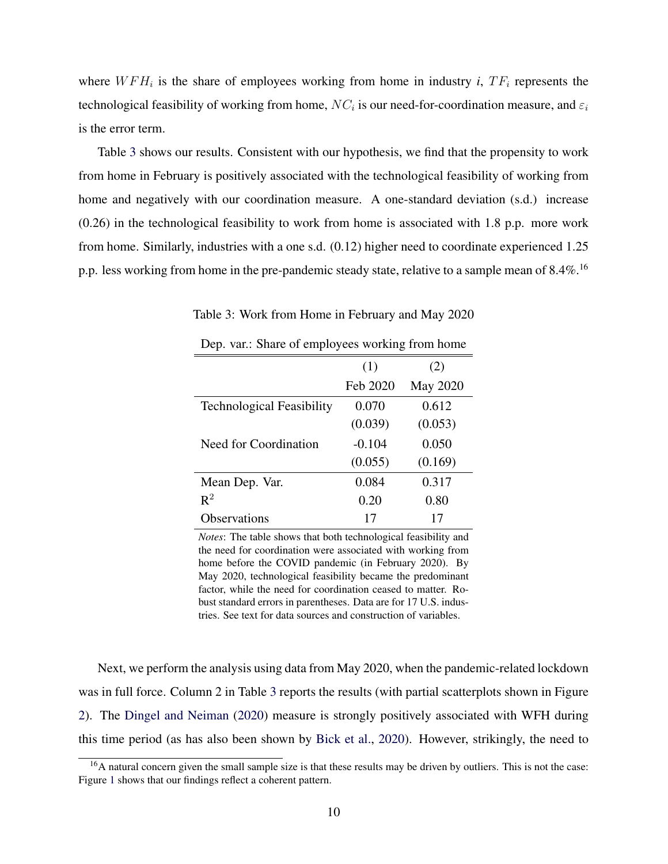<span id="page-9-0"></span>where  $WFH_i$  is the share of employees working from home in industry *i*,  $TF_i$  represents the technological feasibility of working from home,  $NC_i$  is our need-for-coordination measure, and  $\varepsilon_i$ is the error term.

Table 3 shows our results. Consistent with our hypothesis, we find that the propensity to work from home in February is positively associated with the technological feasibility of working from home and negatively with our coordination measure. A one-standard deviation (s.d.) increase (0.26) in the technological feasibility to work from home is associated with 1.8 p.p. more work from home. Similarly, industries with a one s.d. (0.12) higher need to coordinate experienced 1.25 p.p. less working from home in the pre-pandemic steady state, relative to a sample mean of 8.4%.<sup>16</sup>

|                                  | (1)      | (2)             |
|----------------------------------|----------|-----------------|
|                                  | Feb 2020 | <b>May 2020</b> |
| <b>Technological Feasibility</b> | 0.070    | 0.612           |
|                                  | (0.039)  | (0.053)         |
| Need for Coordination            | $-0.104$ | 0.050           |
|                                  | (0.055)  | (0.169)         |
| Mean Dep. Var.                   | 0.084    | 0.317           |
| $\mathbb{R}^2$                   | 0.20     | 0.80            |
| <b>Observations</b>              | 17       | 17              |

Table 3: Work from Home in February and May 2020

Dep. var.: Share of employees working from home

*Notes*: The table shows that both technological feasibility and the need for coordination were associated with working from home before the COVID pandemic (in February 2020). By May 2020, technological feasibility became the predominant factor, while the need for coordination ceased to matter. Robust standard errors in parentheses. Data are for 17 U.S. industries. See text for data sources and construction of variables.

Next, we perform the analysis using data from May 2020, when the pandemic-related lockdown was in full force. Column 2 in Table 3 reports the results (with partial scatterplots shown in Figure [2\)](#page-10-0). The [Dingel and Neiman](#page-13-0) [\(2020\)](#page-13-0) measure is strongly positively associated with WFH during this time period (as has also been shown by [Bick et al.,](#page-13-0) [2020\)](#page-13-0). However, strikingly, the need to

 $16A$  natural concern given the small sample size is that these results may be driven by outliers. This is not the case: Figure [1](#page-10-0) shows that our findings reflect a coherent pattern.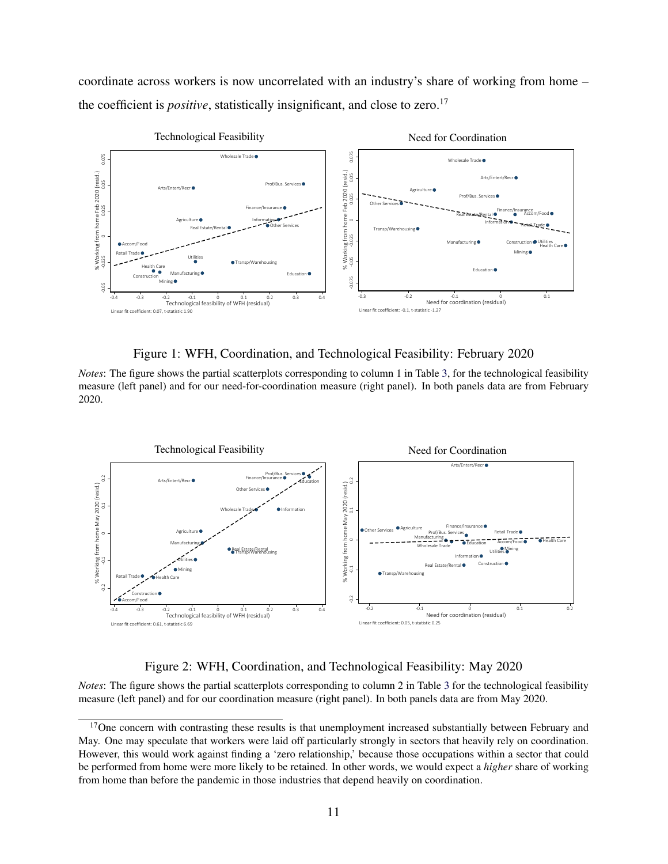<span id="page-10-0"></span>coordinate across workers is now uncorrelated with an industry's share of working from home – the coefficient is *positive*, statistically insignificant, and close to zero.<sup>17</sup>



Figure 1: WFH, Coordination, and Technological Feasibility: February 2020

*Notes*: The figure shows the partial scatterplots corresponding to column 1 in Table [3,](#page-9-0) for the technological feasibility measure (left panel) and for our need-for-coordination measure (right panel). In both panels data are from February 2020.



Figure 2: WFH, Coordination, and Technological Feasibility: May 2020

*Notes*: The figure shows the partial scatterplots corresponding to column 2 in Table [3](#page-9-0) for the technological feasibility measure (left panel) and for our coordination measure (right panel). In both panels data are from May 2020.

<sup>&</sup>lt;sup>17</sup>One concern with contrasting these results is that unemployment increased substantially between February and May. One may speculate that workers were laid off particularly strongly in sectors that heavily rely on coordination. However, this would work against finding a 'zero relationship,' because those occupations within a sector that could be performed from home were more likely to be retained. In other words, we would expect a *higher* share of working from home than before the pandemic in those industries that depend heavily on coordination.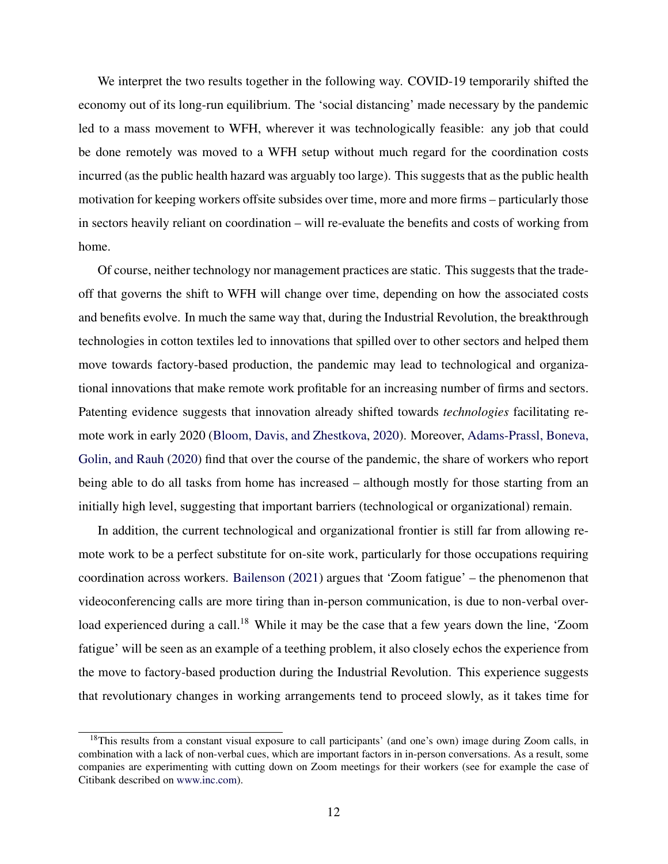We interpret the two results together in the following way. COVID-19 temporarily shifted the economy out of its long-run equilibrium. The 'social distancing' made necessary by the pandemic led to a mass movement to WFH, wherever it was technologically feasible: any job that could be done remotely was moved to a WFH setup without much regard for the coordination costs incurred (as the public health hazard was arguably too large). This suggests that as the public health motivation for keeping workers offsite subsides over time, more and more firms – particularly those in sectors heavily reliant on coordination – will re-evaluate the benefits and costs of working from home.

Of course, neither technology nor management practices are static. This suggests that the tradeoff that governs the shift to WFH will change over time, depending on how the associated costs and benefits evolve. In much the same way that, during the Industrial Revolution, the breakthrough technologies in cotton textiles led to innovations that spilled over to other sectors and helped them move towards factory-based production, the pandemic may lead to technological and organizational innovations that make remote work profitable for an increasing number of firms and sectors. Patenting evidence suggests that innovation already shifted towards *technologies* facilitating remote work in early 2020 [\(Bloom, Davis, and Zhestkova,](#page-13-0) [2020\)](#page-13-0). Moreover, [Adams-Prassl, Boneva,](#page-13-0) [Golin, and Rauh](#page-13-0) [\(2020\)](#page-13-0) find that over the course of the pandemic, the share of workers who report being able to do all tasks from home has increased – although mostly for those starting from an initially high level, suggesting that important barriers (technological or organizational) remain.

In addition, the current technological and organizational frontier is still far from allowing remote work to be a perfect substitute for on-site work, particularly for those occupations requiring coordination across workers. [Bailenson](#page-13-0) [\(2021\)](#page-13-0) argues that 'Zoom fatigue' – the phenomenon that videoconferencing calls are more tiring than in-person communication, is due to non-verbal overload experienced during a call.<sup>18</sup> While it may be the case that a few years down the line, 'Zoom fatigue' will be seen as an example of a teething problem, it also closely echos the experience from the move to factory-based production during the Industrial Revolution. This experience suggests that revolutionary changes in working arrangements tend to proceed slowly, as it takes time for

<sup>&</sup>lt;sup>18</sup>This results from a constant visual exposure to call participants' (and one's own) image during Zoom calls, in combination with a lack of non-verbal cues, which are important factors in in-person conversations. As a result, some companies are experimenting with cutting down on Zoom meetings for their workers (see for example the case of Citibank described on [www.inc.com\)](https://www.inc.com/minda-zetlin/citi-zoom-free-fridays-meetings-ban-work-life-balance-jane-fraser.html).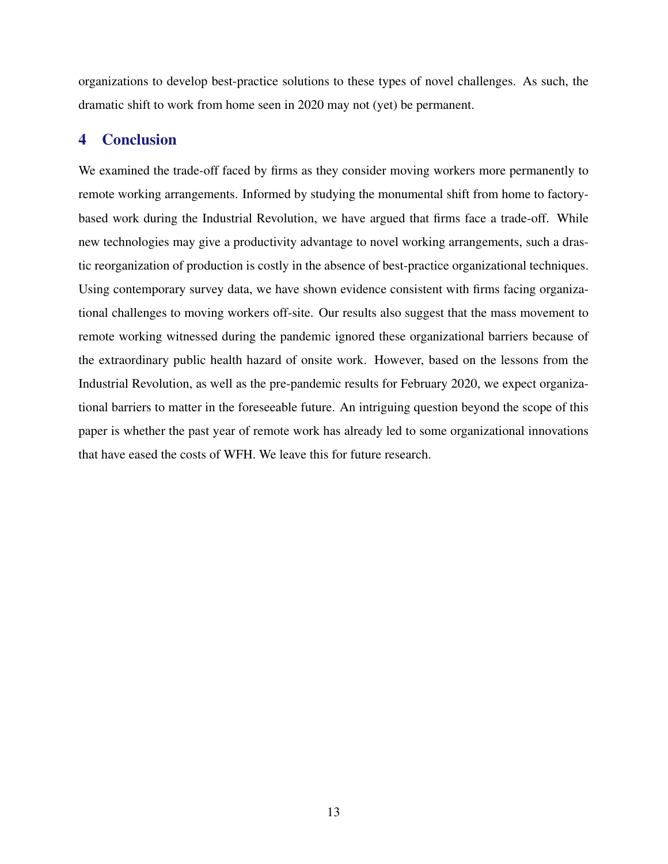organizations to develop best-practice solutions to these types of novel challenges. As such, the dramatic shift to work from home seen in 2020 may not (yet) be permanent.

# 4 Conclusion

We examined the trade-off faced by firms as they consider moving workers more permanently to remote working arrangements. Informed by studying the monumental shift from home to factorybased work during the Industrial Revolution, we have argued that firms face a trade-off. While new technologies may give a productivity advantage to novel working arrangements, such a drastic reorganization of production is costly in the absence of best-practice organizational techniques. Using contemporary survey data, we have shown evidence consistent with firms facing organizational challenges to moving workers off-site. Our results also suggest that the mass movement to remote working witnessed during the pandemic ignored these organizational barriers because of the extraordinary public health hazard of onsite work. However, based on the lessons from the Industrial Revolution, as well as the pre-pandemic results for February 2020, we expect organizational barriers to matter in the foreseeable future. An intriguing question beyond the scope of this paper is whether the past year of remote work has already led to some organizational innovations that have eased the costs of WFH. We leave this for future research.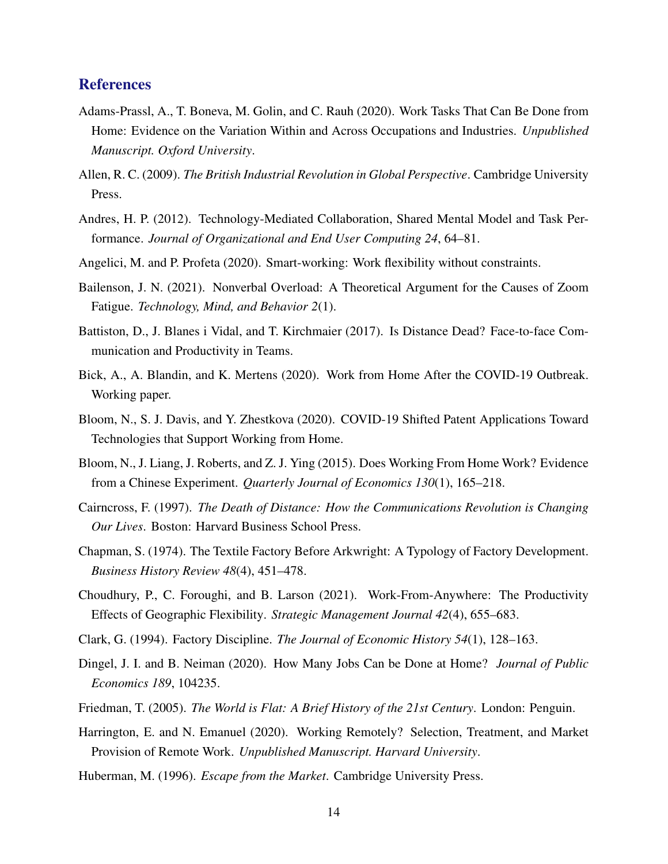# <span id="page-13-0"></span>**References**

- Adams-Prassl, A., T. Boneva, M. Golin, and C. Rauh (2020). Work Tasks That Can Be Done from Home: Evidence on the Variation Within and Across Occupations and Industries. *Unpublished Manuscript. Oxford University*.
- Allen, R. C. (2009). *The British Industrial Revolution in Global Perspective*. Cambridge University Press.
- Andres, H. P. (2012). Technology-Mediated Collaboration, Shared Mental Model and Task Performance. *Journal of Organizational and End User Computing 24*, 64–81.
- Angelici, M. and P. Profeta (2020). Smart-working: Work flexibility without constraints.
- Bailenson, J. N. (2021). Nonverbal Overload: A Theoretical Argument for the Causes of Zoom Fatigue. *Technology, Mind, and Behavior 2*(1).
- Battiston, D., J. Blanes i Vidal, and T. Kirchmaier (2017). Is Distance Dead? Face-to-face Communication and Productivity in Teams.
- Bick, A., A. Blandin, and K. Mertens (2020). Work from Home After the COVID-19 Outbreak. Working paper.
- Bloom, N., S. J. Davis, and Y. Zhestkova (2020). COVID-19 Shifted Patent Applications Toward Technologies that Support Working from Home.
- Bloom, N., J. Liang, J. Roberts, and Z. J. Ying (2015). Does Working From Home Work? Evidence from a Chinese Experiment. *Quarterly Journal of Economics 130*(1), 165–218.
- Cairncross, F. (1997). *The Death of Distance: How the Communications Revolution is Changing Our Lives*. Boston: Harvard Business School Press.
- Chapman, S. (1974). The Textile Factory Before Arkwright: A Typology of Factory Development. *Business History Review 48*(4), 451–478.
- Choudhury, P., C. Foroughi, and B. Larson (2021). Work-From-Anywhere: The Productivity Effects of Geographic Flexibility. *Strategic Management Journal 42*(4), 655–683.
- Clark, G. (1994). Factory Discipline. *The Journal of Economic History 54*(1), 128–163.
- Dingel, J. I. and B. Neiman (2020). How Many Jobs Can be Done at Home? *Journal of Public Economics 189*, 104235.
- Friedman, T. (2005). *The World is Flat: A Brief History of the 21st Century*. London: Penguin.
- Harrington, E. and N. Emanuel (2020). Working Remotely? Selection, Treatment, and Market Provision of Remote Work. *Unpublished Manuscript. Harvard University*.
- Huberman, M. (1996). *Escape from the Market*. Cambridge University Press.